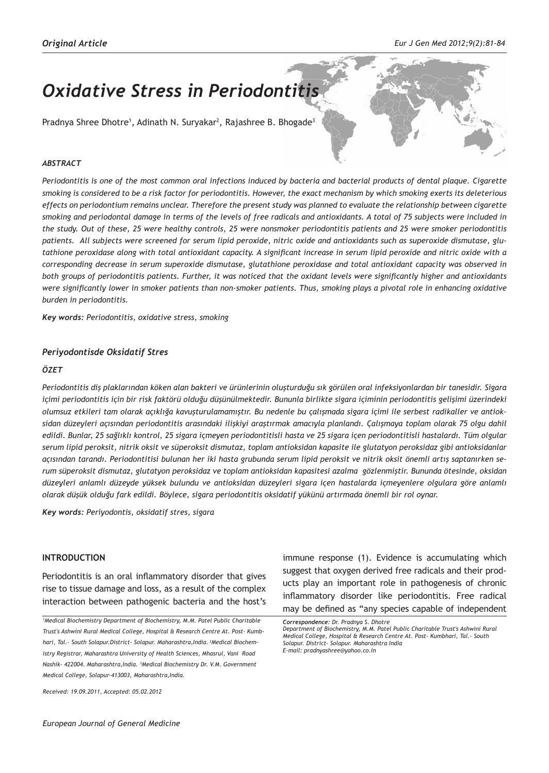# *Oxidative Stress in Periodontitis*

Pradnya Shree Dhotre<sup>1</sup>, Adinath N. Suryakar<sup>2</sup>, Rajashree B. Bhogade<sup>3</sup>

#### *ABSTRACT*

*Periodontitis is one of the most common oral infections induced by bacteria and bacterial products of dental plaque. Cigarette smoking is considered to be a risk factor for periodontitis. However, the exact mechanism by which smoking exerts its deleterious effects on periodontium remains unclear. Therefore the present study was planned to evaluate the relationship between cigarette smoking and periodontal damage in terms of the levels of free radicals and antioxidants. A total of 75 subjects were included in the study. Out of these, 25 were healthy controls, 25 were nonsmoker periodontitis patients and 25 were smoker periodontitis patients. All subjects were screened for serum lipid peroxide, nitric oxide and antioxidants such as superoxide dismutase, glutathione peroxidase along with total antioxidant capacity. A significant increase in serum lipid peroxide and nitric oxide with a corresponding decrease in serum superoxide dismutase, glutathione peroxidase and total antioxidant capacity was observed in both groups of periodontitis patients. Further, it was noticed that the oxidant levels were significantly higher and antioxidants were significantly lower in smoker patients than non-smoker patients. Thus, smoking plays a pivotal role in enhancing oxidative burden in periodontitis.*

*Key words: Periodontitis, oxidative stress, smoking*

#### *Periyodontisde Oksidatif Stres*

#### *ÖZET*

*Periodontitis diş plaklarından köken alan bakteri ve ürünlerinin oluşturduğu sık görülen oral infeksiyonlardan bir tanesidir. Sigara içimi periodontitis için bir risk faktörü olduğu düşünülmektedir. Bununla birlikte sigara içiminin periodontitis gelişimi üzerindeki olumsuz etkileri tam olarak açıklığa kavuşturulamamıştır. Bu nedenle bu çalışmada sigara içimi ile serbest radikaller ve antioksidan düzeyleri açısından periodontitis arasındaki ilişkiyi araştırmak amacıyla planlandı. Çalışmaya toplam olarak 75 olgu dahil edildi. Bunlar, 25 sağlıklı kontrol, 25 sigara içmeyen periodontitisli hasta ve 25 sigara içen periodontitisli hastalardı. Tüm olgular serum lipid peroksit, nitrik oksit ve süperoksit dismutaz, toplam antioksidan kapasite ile glutatyon peroksidaz gibi antioksidanlar açısından tarandı. Periodontitisi bulunan her iki hasta grubunda serum lipid peroksit ve nitrik oksit önemli artış saptanırken serum süperoksit dismutaz, glutatyon peroksidaz ve toplam antioksidan kapasitesi azalma gözlenmiştir. Bununda ötesinde, oksidan düzeyleri anlamlı düzeyde yüksek bulundu ve antioksidan düzeyleri sigara içen hastalarda içmeyenlere olgulara göre anlamlı olarak düşük olduğu fark edildi. Böylece, sigara periodontitis oksidatif yükünü artırmada önemli bir rol oynar.*

*Key words: Periyodontis, oksidatif stres, sigara*

#### **INTRODUCTION**

Periodontitis is an oral inflammatory disorder that gives rise to tissue damage and loss, as a result of the complex interaction between pathogenic bacteria and the host's

*1 Medical Biochemistry Department of Biochemistry, M.M. Patel Public Charitable Trust's Ashwini Rural Medical College, Hospital & Research Centre At. Post- Kumbhari, Tal.- South Solapur.District- Solapur. Maharashtra,India. 2Medical Biochemistry Registrar, Maharashtra University of Health Sciences, Mhasrul, Vani Road Nashik- 422004. Maharashtra,India. <sup>3</sup> Medical Biochemistry Dr. V.M. Government Medical College, Solapur-413003, Maharashtra,India.* 

*Received: 19.09.2011, Accepted: 05.02.2012*

immune response (1). Evidence is accumulating which suggest that oxygen derived free radicals and their products play an important role in pathogenesis of chronic inflammatory disorder like periodontitis. Free radical may be defined as "any species capable of independent

*Correspondence: Dr. Pradnya S. Dhotre*

*Department of Biochemistry, M.M. Patel Public Charitable Trust's Ashwini Rural Medical College, Hospital & Research Centre At. Post- Kumbhari, Tal.- South Solapur. District- Solapur. Maharashtra India E-mail: pradnyashree@yahoo.co.in*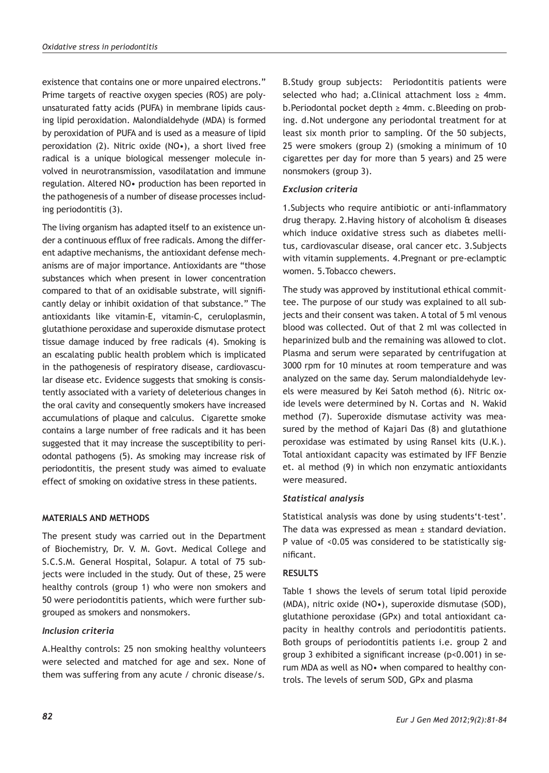existence that contains one or more unpaired electrons." Prime targets of reactive oxygen species (ROS) are polyunsaturated fatty acids (PUFA) in membrane lipids causing lipid peroxidation. Malondialdehyde (MDA) is formed by peroxidation of PUFA and is used as a measure of lipid peroxidation (2). Nitric oxide (NO•), a short lived free radical is a unique biological messenger molecule involved in neurotransmission, vasodilatation and immune regulation. Altered NO• production has been reported in the pathogenesis of a number of disease processes including periodontitis (3).

The living organism has adapted itself to an existence under a continuous efflux of free radicals. Among the different adaptive mechanisms, the antioxidant defense mechanisms are of major importance. Antioxidants are "those substances which when present in lower concentration compared to that of an oxidisable substrate, will significantly delay or inhibit oxidation of that substance." The antioxidants like vitamin-E, vitamin-C, ceruloplasmin, glutathione peroxidase and superoxide dismutase protect tissue damage induced by free radicals (4). Smoking is an escalating public health problem which is implicated in the pathogenesis of respiratory disease, cardiovascular disease etc. Evidence suggests that smoking is consistently associated with a variety of deleterious changes in the oral cavity and consequently smokers have increased accumulations of plaque and calculus. Cigarette smoke contains a large number of free radicals and it has been suggested that it may increase the susceptibility to periodontal pathogens (5). As smoking may increase risk of periodontitis, the present study was aimed to evaluate effect of smoking on oxidative stress in these patients.

## **MATERIALS AND METHODS**

The present study was carried out in the Department of Biochemistry, Dr. V. M. Govt. Medical College and S.C.S.M. General Hospital, Solapur. A total of 75 subjects were included in the study. Out of these, 25 were healthy controls (group 1) who were non smokers and 50 were periodontitis patients, which were further subgrouped as smokers and nonsmokers.

## *Inclusion criteria*

A.Healthy controls: 25 non smoking healthy volunteers were selected and matched for age and sex. None of them was suffering from any acute / chronic disease/s.

B.Study group subjects: Periodontitis patients were selected who had; a.Clinical attachment loss  $\geq$  4mm. b.Periodontal pocket depth ≥ 4mm. c.Bleeding on probing. d.Not undergone any periodontal treatment for at least six month prior to sampling. Of the 50 subjects, 25 were smokers (group 2) (smoking a minimum of 10 cigarettes per day for more than 5 years) and 25 were nonsmokers (group 3).

## *Exclusion criteria*

1.Subjects who require antibiotic or anti-inflammatory drug therapy. 2.Having history of alcoholism & diseases which induce oxidative stress such as diabetes mellitus, cardiovascular disease, oral cancer etc. 3.Subjects with vitamin supplements. 4.Pregnant or pre-eclamptic women. 5.Tobacco chewers.

The study was approved by institutional ethical committee. The purpose of our study was explained to all subjects and their consent was taken. A total of 5 ml venous blood was collected. Out of that 2 ml was collected in heparinized bulb and the remaining was allowed to clot. Plasma and serum were separated by centrifugation at 3000 rpm for 10 minutes at room temperature and was analyzed on the same day. Serum malondialdehyde levels were measured by Kei Satoh method (6). Nitric oxide levels were determined by N. Cortas and N. Wakid method (7). Superoxide dismutase activity was measured by the method of Kajari Das (8) and glutathione peroxidase was estimated by using Ransel kits (U.K.). Total antioxidant capacity was estimated by IFF Benzie et. al method (9) in which non enzymatic antioxidants were measured.

## *Statistical analysis*

Statistical analysis was done by using students't-test'. The data was expressed as mean ± standard deviation. P value of <0.05 was considered to be statistically significant.

## **RESULTS**

Table 1 shows the levels of serum total lipid peroxide (MDA), nitric oxide (NO•), superoxide dismutase (SOD), glutathione peroxidase (GPx) and total antioxidant capacity in healthy controls and periodontitis patients. Both groups of periodontitis patients i.e. group 2 and group 3 exhibited a significant increase (p<0.001) in serum MDA as well as NO• when compared to healthy controls. The levels of serum SOD, GPx and plasma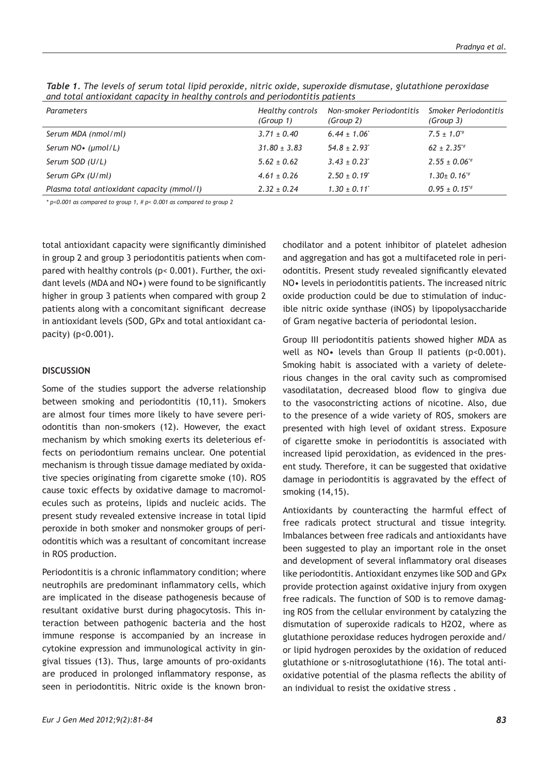| Parameters                                 | Healthy controls<br>(Group 1) | Non-smoker Periodontitis<br>(Group 2) | Smoker Periodontitis<br>(Group 3) |
|--------------------------------------------|-------------------------------|---------------------------------------|-----------------------------------|
| Serum MDA (nmol/ml)                        | $3.71 \pm 0.40$               | $6.44 \pm 1.06$                       | $7.5 \pm 1.0^{4}$                 |
| Serum $NO($ ( $µmol/L)$ )                  | $31.80 \pm 3.83$              | $54.8 \pm 2.93$                       | $62 \pm 2.35^{*}$                 |
| Serum SOD (U/L)                            | $5.62 \pm 0.62$               | $3.43 \pm 0.23$                       | $2.55 \pm 0.06^{*}$               |
| Serum GPx (U/ml)                           | $4.61 \pm 0.26$               | $2.50 \pm 0.19$                       | $1.30 \pm 0.16$ <sup>*</sup>      |
| Plasma total antioxidant capacity (mmol/l) | $2.32 \pm 0.24$               | $1.30 \pm 0.11$                       | $0.95 \pm 0.15$ <sup>*#</sup>     |

*Table 1. The levels of serum total lipid peroxide, nitric oxide, superoxide dismutase, glutathione peroxidase and total antioxidant capacity in healthy controls and periodontitis patients*

*\* p<0.001 as compared to group 1, # p< 0.001 as compared to group 2*

total antioxidant capacity were significantly diminished in group 2 and group 3 periodontitis patients when compared with healthy controls (p< 0.001). Further, the oxidant levels (MDA and NO•) were found to be significantly higher in group 3 patients when compared with group 2 patients along with a concomitant significant decrease in antioxidant levels (SOD, GPx and total antioxidant capacity) (p<0.001).

#### **DISCUSSION**

Some of the studies support the adverse relationship between smoking and periodontitis (10,11). Smokers are almost four times more likely to have severe periodontitis than non-smokers (12). However, the exact mechanism by which smoking exerts its deleterious effects on periodontium remains unclear. One potential mechanism is through tissue damage mediated by oxidative species originating from cigarette smoke (10). ROS cause toxic effects by oxidative damage to macromolecules such as proteins, lipids and nucleic acids. The present study revealed extensive increase in total lipid peroxide in both smoker and nonsmoker groups of periodontitis which was a resultant of concomitant increase in ROS production.

Periodontitis is a chronic inflammatory condition; where neutrophils are predominant inflammatory cells, which are implicated in the disease pathogenesis because of resultant oxidative burst during phagocytosis. This interaction between pathogenic bacteria and the host immune response is accompanied by an increase in cytokine expression and immunological activity in gingival tissues (13). Thus, large amounts of pro-oxidants are produced in prolonged inflammatory response, as seen in periodontitis. Nitric oxide is the known bronchodilator and a potent inhibitor of platelet adhesion and aggregation and has got a multifaceted role in periodontitis. Present study revealed significantly elevated NO• levels in periodontitis patients. The increased nitric oxide production could be due to stimulation of inducible nitric oxide synthase (iNOS) by lipopolysaccharide of Gram negative bacteria of periodontal lesion.

Group III periodontitis patients showed higher MDA as well as NO• levels than Group II patients (p<0.001). Smoking habit is associated with a variety of deleterious changes in the oral cavity such as compromised vasodilatation, decreased blood flow to gingiva due to the vasoconstricting actions of nicotine. Also, due to the presence of a wide variety of ROS, smokers are presented with high level of oxidant stress. Exposure of cigarette smoke in periodontitis is associated with increased lipid peroxidation, as evidenced in the present study. Therefore, it can be suggested that oxidative damage in periodontitis is aggravated by the effect of smoking (14,15).

Antioxidants by counteracting the harmful effect of free radicals protect structural and tissue integrity. Imbalances between free radicals and antioxidants have been suggested to play an important role in the onset and development of several inflammatory oral diseases like periodontitis. Antioxidant enzymes like SOD and GPx provide protection against oxidative injury from oxygen free radicals. The function of SOD is to remove damaging ROS from the cellular environment by catalyzing the dismutation of superoxide radicals to H2O2, where as glutathione peroxidase reduces hydrogen peroxide and/ or lipid hydrogen peroxides by the oxidation of reduced glutathione or s-nitrosoglutathione (16). The total antioxidative potential of the plasma reflects the ability of an individual to resist the oxidative stress .